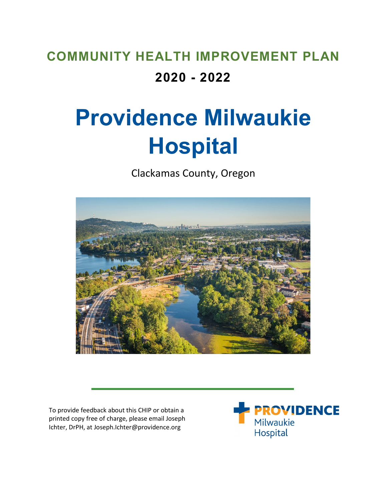# **COMMUNITY HEALTH IMPROVEMENT PLAN 2020 - 2022**

# **Providence Milwaukie Hospital**

Clackamas County, Oregon



To provide feedback about this CHIP or obtain a printed copy free of charge, please email Joseph Ichter, DrPH, at Joseph.Ichter@providence.org

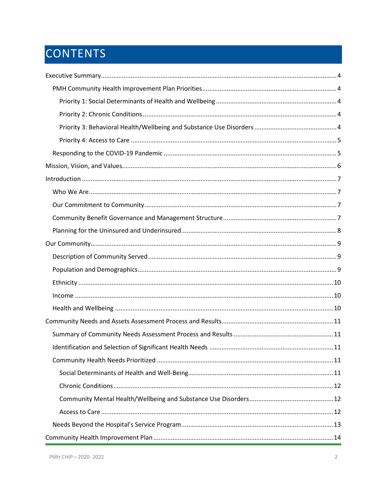# CONTENTS

| $\begin{minipage}{0.9\linewidth} \nIncome \begin{minipage}{0.9\linewidth} \nIncome \end{minipage} \nIncomp \begin{minipage}{0.9\linewidth} \nIncomp \begin{minipage}{0.9\linewidth} \nIncomp \end{minipage} \nIncomp \begin{minipage}{0.9\linewidth} \nIncomp \begin{minipage}{0.9\linewidth} \nIncomp \end{minipage} \nIncomp \begin{minipage}{0.9\linewidth} \nIncomp \begin{minipage}{0.9\linewidth} \nIncomp \end{minipage} \nIncomp \begin{minipage}{0.9\linewidth} \nIncomp \begin{minipage}{0.9\linewidth} \nIncomp \end{minipage$ |  |
|-------------------------------------------------------------------------------------------------------------------------------------------------------------------------------------------------------------------------------------------------------------------------------------------------------------------------------------------------------------------------------------------------------------------------------------------------------------------------------------------------------------------------------------------|--|
|                                                                                                                                                                                                                                                                                                                                                                                                                                                                                                                                           |  |
|                                                                                                                                                                                                                                                                                                                                                                                                                                                                                                                                           |  |
|                                                                                                                                                                                                                                                                                                                                                                                                                                                                                                                                           |  |
|                                                                                                                                                                                                                                                                                                                                                                                                                                                                                                                                           |  |
|                                                                                                                                                                                                                                                                                                                                                                                                                                                                                                                                           |  |
|                                                                                                                                                                                                                                                                                                                                                                                                                                                                                                                                           |  |
|                                                                                                                                                                                                                                                                                                                                                                                                                                                                                                                                           |  |
|                                                                                                                                                                                                                                                                                                                                                                                                                                                                                                                                           |  |
|                                                                                                                                                                                                                                                                                                                                                                                                                                                                                                                                           |  |
|                                                                                                                                                                                                                                                                                                                                                                                                                                                                                                                                           |  |
|                                                                                                                                                                                                                                                                                                                                                                                                                                                                                                                                           |  |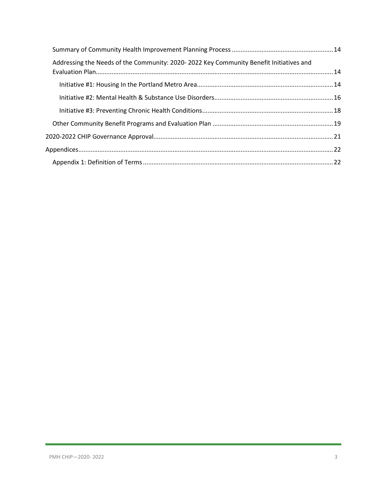| Addressing the Needs of the Community: 2020-2022 Key Community Benefit Initiatives and |  |
|----------------------------------------------------------------------------------------|--|
|                                                                                        |  |
|                                                                                        |  |
|                                                                                        |  |
|                                                                                        |  |
|                                                                                        |  |
|                                                                                        |  |
|                                                                                        |  |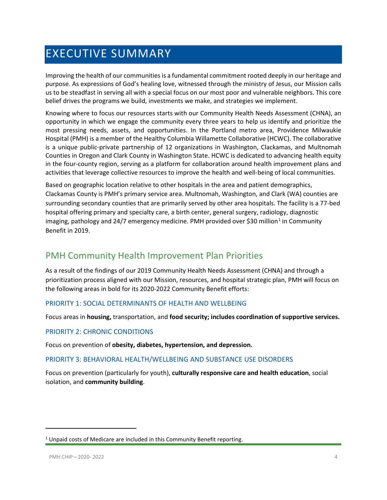# <span id="page-3-0"></span>EXECUTIVE SUMMARY

Improving the health of our communities is a fundamental commitment rooted deeply in our heritage and purpose. As expressions of God's healing love, witnessed through the ministry of Jesus, our Mission calls us to be steadfast in serving all with a special focus on our most poor and vulnerable neighbors. This core belief drives the programs we build, investments we make, and strategies we implement.

Knowing where to focus our resources starts with our Community Health Needs Assessment (CHNA), an opportunity in which we engage the community every three years to help us identify and prioritize the most pressing needs, assets, and opportunities. In the Portland metro area, Providence Milwaukie Hospital (PMH) is a member of the Healthy Columbia Willamette Collaborative (HCWC). The collaborative is a unique public-private partnership of 12 organizations in Washington, Clackamas, and Multnomah Counties in Oregon and Clark County in Washington State. HCWC is dedicated to advancing health equity in the four-county region, serving as a platform for collaboration around health improvement plans and activities that leverage collective resources to improve the health and well-being of local communities.

Based on geographic location relative to other hospitals in the area and patient demographics, Clackamas County is PMH's primary service area. Multnomah, Washington, and Clark (WA) counties are surrounding secondary counties that are primarily served by other area hospitals. The facility is a 77-bed hospital offering primary and specialty care, a birth center, general surgery, radiology, diagnostic imaging, pathology and 24/7 emergency medicine. PMH provided over \$30 million<sup>[1](#page-3-5)</sup> in Community Benefit in 2019.

# <span id="page-3-1"></span>PMH Community Health Improvement Plan Priorities

As a result of the findings of our 2019 Community Health Needs Assessment (CHNA) and through a prioritization process aligned with our Mission, resources, and hospital strategic plan, PMH will focus on the following areas in bold for its 2020-2022 Community Benefit efforts:

#### <span id="page-3-2"></span>PRIORITY 1: SOCIAL DETERMINANTS OF HEALTH AND WELLBEING

Focus areas in **housing,** transportation, and **food security; includes coordination of supportive services.**

#### <span id="page-3-3"></span>PRIORITY 2: CHRONIC CONDITIONS

Focus on prevention of **obesity, diabetes, hypertension, and depression.**

#### <span id="page-3-4"></span>PRIORITY 3: BEHAVIORAL HEALTH/WELLBEING AND SUBSTANCE USE DISORDERS

Focus on prevention (particularly for youth), **culturally responsive care and health education**, social isolation, and **community building**.

 $\overline{\phantom{a}}$ 

<span id="page-3-5"></span> $1$  Unpaid costs of Medicare are included in this Community Benefit reporting.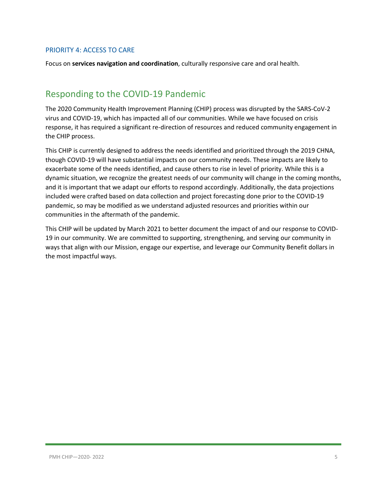#### <span id="page-4-0"></span>PRIORITY 4: ACCESS TO CARE

Focus on **services navigation and coordination**, culturally responsive care and oral health.

# <span id="page-4-1"></span>Responding to the COVID-19 Pandemic

The 2020 Community Health Improvement Planning (CHIP) process was disrupted by the SARS-CoV-2 virus and COVID-19, which has impacted all of our communities. While we have focused on crisis response, it has required a significant re-direction of resources and reduced community engagement in the CHIP process.

This CHIP is currently designed to address the needs identified and prioritized through the 2019 CHNA, though COVID-19 will have substantial impacts on our community needs. These impacts are likely to exacerbate some of the needs identified, and cause others to rise in level of priority. While this is a dynamic situation, we recognize the greatest needs of our community will change in the coming months, and it is important that we adapt our efforts to respond accordingly. Additionally, the data projections included were crafted based on data collection and project forecasting done prior to the COVID-19 pandemic, so may be modified as we understand adjusted resources and priorities within our communities in the aftermath of the pandemic.

This CHIP will be updated by March 2021 to better document the impact of and our response to COVID-19 in our community. We are committed to supporting, strengthening, and serving our community in ways that align with our Mission, engage our expertise, and leverage our Community Benefit dollars in the most impactful ways.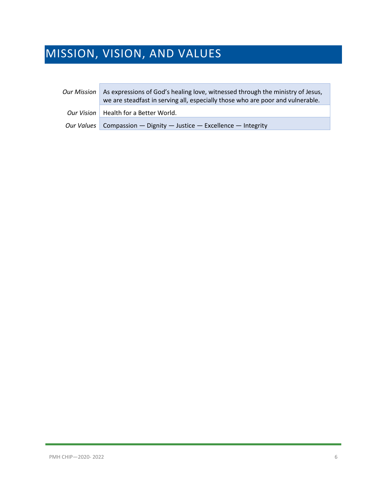# <span id="page-5-0"></span>MISSION, VISION, AND VALUES

| <b>Our Mission</b> | As expressions of God's healing love, witnessed through the ministry of Jesus,<br>we are steadfast in serving all, especially those who are poor and vulnerable. |
|--------------------|------------------------------------------------------------------------------------------------------------------------------------------------------------------|
|                    | Our Vision   Health for a Better World.                                                                                                                          |
|                    | Our Values   Compassion — Dignity — Justice — Excellence — Integrity                                                                                             |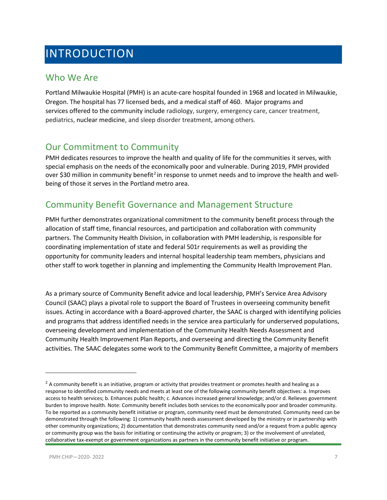# <span id="page-6-0"></span>INTRODUCTION

### <span id="page-6-1"></span>Who We Are

Portland Milwaukie Hospital (PMH) is an acute-care hospital founded in 1968 and located in Milwaukie, Oregon. The hospital has 77 licensed beds, and a medical staff of 460. Major programs and services offered to the community include radiology, surgery, emergency care, cancer treatment, pediatrics, nuclear medicine, and sleep disorder treatment, among others.

### <span id="page-6-2"></span>Our Commitment to Community

PMH dedicates resources to improve the health and quality of life for the communities it serves, with special emphasis on the needs of the economically poor and vulnerable. During 2019, PMH provided over \$30 million in community benefit<sup>[2](#page-6-4)</sup> in response to unmet needs and to improve the health and wellbeing of those it serves in the Portland metro area.

### <span id="page-6-3"></span>Community Benefit Governance and Management Structure

PMH further demonstrates organizational commitment to the community benefit process through the allocation of staff time, financial resources, and participation and collaboration with community partners. The Community Health Division, in collaboration with PMH leadership, is responsible for coordinating implementation of state and federal 501r requirements as well as providing the opportunity for community leaders and internal hospital leadership team members, physicians and other staff to work together in planning and implementing the Community Health Improvement Plan.

As a primary source of Community Benefit advice and local leadership, PMH's Service Area Advisory Council (SAAC) plays a pivotal role to support the Board of Trustees in overseeing community benefit issues. Acting in accordance with a Board-approved charter, the SAAC is charged with identifying policies and programs that address identified needs in the service area particularly for underserved populations, overseeing development and implementation of the Community Health Needs Assessment and Community Health Improvement Plan Reports, and overseeing and directing the Community Benefit activities. The SAAC delegates some work to the Community Benefit Committee, a majority of members

 $\overline{\phantom{a}}$ 

<span id="page-6-4"></span> $<sup>2</sup>$  A community benefit is an initiative, program or activity that provides treatment or promotes health and healing as a</sup> response to identified community needs and meets at least one of the following community benefit objectives: a. Improves access to health services; b. Enhances public health; c. Advances increased general knowledge; and/or d. Relieves government burden to improve health. Note: Community benefit includes both services to the economically poor and broader community. To be reported as a community benefit initiative or program, community need must be demonstrated. Community need can be demonstrated through the following: 1) community health needs assessment developed by the ministry or in partnership with other community organizations; 2) documentation that demonstrates community need and/or a request from a public agency or community group was the basis for initiating or continuing the activity or program; 3) or the involvement of unrelated, collaborative tax-exempt or government organizations as partners in the community benefit initiative or program.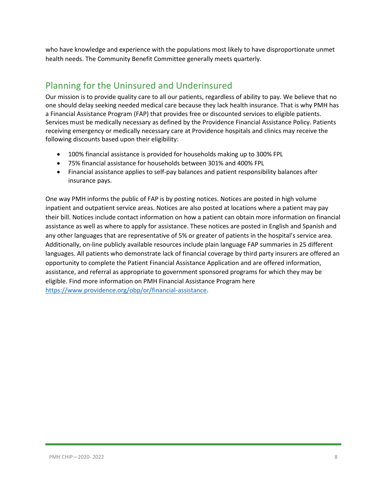who have knowledge and experience with the populations most likely to have disproportionate unmet health needs. The Community Benefit Committee generally meets quarterly.

# <span id="page-7-0"></span>Planning for the Uninsured and Underinsured

Our mission is to provide quality care to all our patients, regardless of ability to pay. We believe that no one should delay seeking needed medical care because they lack health insurance. That is why PMH has a Financial Assistance Program (FAP) that provides free or discounted services to eligible patients. Services must be medically necessary as defined by the Providence Financial Assistance Policy. Patients receiving emergency or medically necessary care at Providence hospitals and clinics may receive the following discounts based upon their eligibility:

- 100% financial assistance is provided for households making up to 300% FPL
- 75% financial assistance for households between 301% and 400% FPL
- Financial assistance applies to self-pay balances and patient responsibility balances after insurance pays.

One way PMH informs the public of FAP is by posting notices. Notices are posted in high volume inpatient and outpatient service areas. Notices are also posted at locations where a patient may pay their bill. Notices include contact information on how a patient can obtain more information on financial assistance as well as where to apply for assistance. These notices are posted in English and Spanish and any other languages that are representative of 5% or greater of patients in the hospital's service area. Additionally, on-line publicly available resources include plain language FAP summaries in 25 different languages. All patients who demonstrate lack of financial coverage by third party insurers are offered an opportunity to complete the Patient Financial Assistance Application and are offered information, assistance, and referral as appropriate to government sponsored programs for which they may be eligible. Find more information on PMH Financial Assistance Program here [https://www.providence.org/obp/or/financial-assistance.](https://www.providence.org/obp/or/financial-assistance)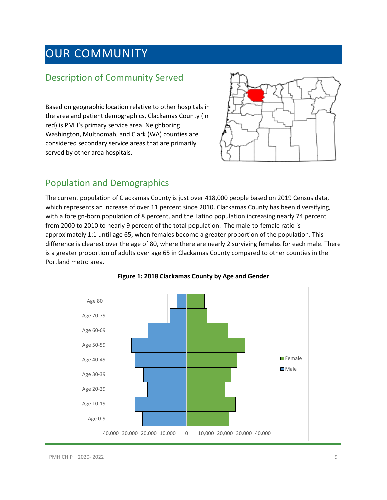# <span id="page-8-0"></span>OUR COMMUNITY

# <span id="page-8-1"></span>Description of Community Served

Based on geographic location relative to other hospitals in the area and patient demographics, Clackamas County (in red) is PMH's primary service area. Neighboring Washington, Multnomah, and Clark (WA) counties are considered secondary service areas that are primarily served by other area hospitals.



### <span id="page-8-2"></span>Population and Demographics

The current population of Clackamas County is just over 418,000 people based on 2019 Census data, which represents an increase of over 11 percent since 2010. Clackamas County has been diversifying, with a foreign-born population of 8 percent, and the Latino population increasing nearly 74 percent from 2000 to 2010 to nearly 9 percent of the total population. The male-to-female ratio is approximately 1:1 until age 65, when females become a greater proportion of the population. This difference is clearest over the age of 80, where there are nearly 2 surviving females for each male. There is a greater proportion of adults over age 65 in Clackamas County compared to other counties in the Portland metro area.



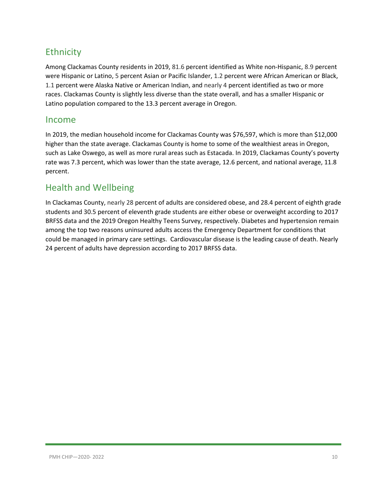# <span id="page-9-0"></span>**Ethnicity**

Among Clackamas County residents in 2019, 81.6 percent identified as White non-Hispanic, 8.9 percent were Hispanic or Latino, 5 percent Asian or Pacific Islander, 1.2 percent were African American or Black, 1.1 percent were Alaska Native or American Indian, and nearly 4 percent identified as two or more races. Clackamas County is slightly less diverse than the state overall, and has a smaller Hispanic or Latino population compared to the 13.3 percent average in Oregon.

#### <span id="page-9-1"></span>Income

In 2019, the median household income for Clackamas County was \$76,597, which is more than \$12,000 higher than the state average. Clackamas County is home to some of the wealthiest areas in Oregon, such as Lake Oswego, as well as more rural areas such as Estacada. In 2019, Clackamas County's poverty rate was 7.3 percent, which was lower than the state average, 12.6 percent, and national average, 11.8 percent.

### <span id="page-9-2"></span>Health and Wellbeing

In Clackamas County, nearly 28 percent of adults are considered obese, and 28.4 percent of eighth grade students and 30.5 percent of eleventh grade students are either obese or overweight according to 2017 BRFSS data and the 2019 Oregon Healthy Teens Survey, respectively. Diabetes and hypertension remain among the top two reasons uninsured adults access the Emergency Department for conditions that could be managed in primary care settings. Cardiovascular disease is the leading cause of death. Nearly 24 percent of adults have depression according to 2017 BRFSS data.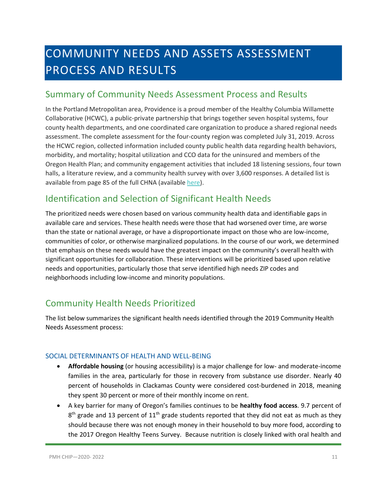# <span id="page-10-0"></span>COMMUNITY NEEDS AND ASSETS ASSESSMENT PROCESS AND RESULTS

### <span id="page-10-1"></span>Summary of Community Needs Assessment Process and Results

In the Portland Metropolitan area, Providence is a proud member of the Healthy Columbia Willamette Collaborative (HCWC), a public-private partnership that brings together seven hospital systems, four county health departments, and one coordinated care organization to produce a shared regional needs assessment. The complete assessment for the four-county region was completed July 31, 2019. Across the HCWC region, collected information included county public health data regarding health behaviors, morbidity, and mortality; hospital utilization and CCO data for the uninsured and members of the Oregon Health Plan; and community engagement activities that included 18 listening sessions, four town halls, a literature review, and a community health survey with over 3,600 responses. A detailed list is available from page 85 of the full CHNA (available [here\)](https://comagine.org/sites/default/files/resources/HCWC-Community-Health-Needs-Assessment-Report-July2019_0.pdf).

# <span id="page-10-2"></span>Identification and Selection of Significant Health Needs

The prioritized needs were chosen based on various community health data and identifiable gaps in available care and services. These health needs were those that had worsened over time, are worse than the state or national average, or have a disproportionate impact on those who are low-income, communities of color, or otherwise marginalized populations. In the course of our work, we determined that emphasis on these needs would have the greatest impact on the community's overall health with significant opportunities for collaboration. These interventions will be prioritized based upon relative needs and opportunities, particularly those that serve identified high needs ZIP codes and neighborhoods including low-income and minority populations.

# <span id="page-10-3"></span>Community Health Needs Prioritized

The list below summarizes the significant health needs identified through the 2019 Community Health Needs Assessment process:

#### <span id="page-10-4"></span>SOCIAL DETERMINANTS OF HEALTH AND WELL-BEING

- **Affordable housing** (or housing accessibility) is a major challenge for low- and moderate-income families in the area, particularly for those in recovery from substance use disorder. Nearly 40 percent of households in Clackamas County were considered cost-burdened in 2018, meaning they spent 30 percent or more of their monthly income on rent.
- A key barrier for many of Oregon's families continues to be **healthy food access**. 9.7 percent of  $8<sup>th</sup>$  grade and 13 percent of 11<sup>th</sup> grade students reported that they did not eat as much as they should because there was not enough money in their household to buy more food, according to the 2017 Oregon Healthy Teens Survey. Because nutrition is closely linked with oral health and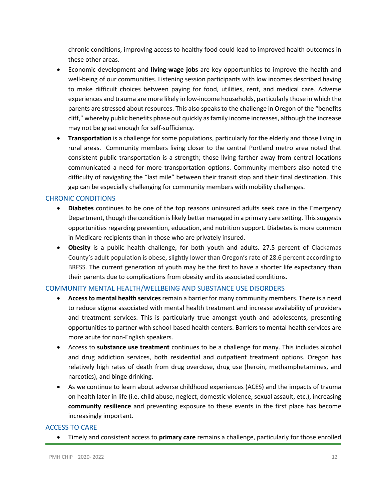chronic conditions, improving access to healthy food could lead to improved health outcomes in these other areas.

- Economic development and **living-wage jobs** are key opportunities to improve the health and well-being of our communities. Listening session participants with low incomes described having to make difficult choices between paying for food, utilities, rent, and medical care. Adverse experiences and trauma are more likely in low-income households, particularly those in which the parents are stressed about resources. This also speaks to the challenge in Oregon of the "benefits cliff," whereby public benefits phase out quickly as family income increases, although the increase may not be great enough for self-sufficiency.
- **Transportation** is a challenge for some populations, particularly for the elderly and those living in rural areas. Community members living closer to the central Portland metro area noted that consistent public transportation is a strength; those living farther away from central locations communicated a need for more transportation options. Community members also noted the difficulty of navigating the "last mile" between their transit stop and their final destination. This gap can be especially challenging for community members with mobility challenges.

#### <span id="page-11-0"></span>CHRONIC CONDITIONS

- **Diabetes** continues to be one of the top reasons uninsured adults seek care in the Emergency Department, though the condition is likely better managed in a primary care setting. This suggests opportunities regarding prevention, education, and nutrition support. Diabetes is more common in Medicare recipients than in those who are privately insured.
- **Obesity** is a public health challenge, for both youth and adults. 27.5 percent of Clackamas County's adult population is obese, slightly lower than Oregon's rate of 28.6 percent according to BRFSS. The current generation of youth may be the first to have a shorter life expectancy than their parents due to complications from obesity and its associated conditions.

#### <span id="page-11-1"></span>COMMUNITY MENTAL HEALTH/WELLBEING AND SUBSTANCE USE DISORDERS

- **Access to mental health services**remain a barrier for many community members. There is a need to reduce stigma associated with mental health treatment and increase availability of providers and treatment services. This is particularly true amongst youth and adolescents, presenting opportunities to partner with school-based health centers. Barriers to mental health services are more acute for non-English speakers.
- Access to **substance use treatment** continues to be a challenge for many. This includes alcohol and drug addiction services, both residential and outpatient treatment options. Oregon has relatively high rates of death from drug overdose, drug use (heroin, methamphetamines, and narcotics), and binge drinking.
- As we continue to learn about adverse childhood experiences (ACES) and the impacts of trauma on health later in life (i.e. child abuse, neglect, domestic violence, sexual assault, etc.), increasing **community resilience** and preventing exposure to these events in the first place has become increasingly important.

#### <span id="page-11-2"></span>ACCESS TO CARE

• Timely and consistent access to **primary care** remains a challenge, particularly for those enrolled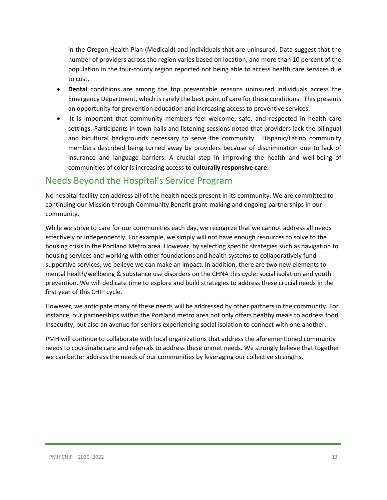in the Oregon Health Plan (Medicaid) and individuals that are uninsured. Data suggest that the number of providers across the region varies based on location, and more than 10 percent of the population in the four-county region reported not being able to access health care services due to cost.

- **Dental** conditions are among the top preventable reasons uninsured individuals access the Emergency Department, which is rarely the best point of care for these conditions. This presents an opportunity for prevention education and increasing access to preventive services.
- It is important that community members feel welcome, safe, and respected in health care settings. Participants in town halls and listening sessions noted that providers lack the bilingual and bicultural backgrounds necessary to serve the community. Hispanic/Latino community members described being turned away by providers because of discrimination due to lack of insurance and language barriers. A crucial step in improving the health and well-being of communities of color is increasing access to **culturally responsive care**.

### <span id="page-12-0"></span>Needs Beyond the Hospital's Service Program

No hospital facility can address all of the health needs present in its community. We are committed to continuing our Mission through Community Benefit grant-making and ongoing partnerships in our community.

While we strive to care for our communities each day, we recognize that we cannot address all needs effectively or independently. For example, we simply will not have enough resources to solve to the housing crisis in the Portland Metro area. However, by selecting specific strategies such as navigation to housing services and working with other foundations and health systems to collaboratively fund supportive services, we believe we can make an impact. In addition, there are two new elements to mental health/wellbeing & substance use disorders on the CHNA this cycle: social isolation and youth prevention. We will dedicate time to explore and build strategies to address these crucial needs in the first year of this CHIP cycle.

However, we anticipate many of these needs will be addressed by other partners in the community. For instance, our partnerships within the Portland metro area not only offers healthy meals to address food insecurity, but also an avenue for seniors experiencing social isolation to connect with one another.

PMH will continue to collaborate with local organizations that address the aforementioned community needs to coordinate care and referrals to address these unmet needs. We strongly believe that together we can better address the needs of our communities by leveraging our collective strengths.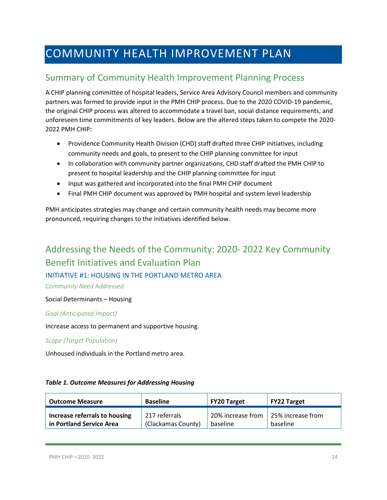# <span id="page-13-0"></span>COMMUNITY HEALTH IMPROVEMENT PLAN

# <span id="page-13-1"></span>Summary of Community Health Improvement Planning Process

A CHIP planning committee of hospital leaders, Service Area Advisory Council members and community partners was formed to provide input in the PMH CHIP process. Due to the 2020 COVID-19 pandemic, the original CHIP process was altered to accommodate a travel ban, social distance requirements, and unforeseen time commitments of key leaders. Below are the altered steps taken to compete the 2020- 2022 PMH CHIP:

- Providence Community Health Division (CHD) staff drafted three CHIP initiatives, including community needs and goals, to present to the CHIP planning committee for input
- In collaboration with community partner organizations, CHD staff drafted the PMH CHIP to present to hospital leadership and the CHIP planning committee for input
- Input was gathered and incorporated into the final PMH CHIP document
- Final PMH CHIP document was approved by PMH hospital and system level leadership

PMH anticipates strategies may change and certain community health needs may become more pronounced, requiring changes to the initiatives identified below.

# <span id="page-13-2"></span>Addressing the Needs of the Community: 2020- 2022 Key Community Benefit Initiatives and Evaluation Plan

#### <span id="page-13-3"></span>INITIATIVE #1: HOUSING IN THE PORTLAND METRO AREA

*Community Need Addressed*

Social Determinants – Housing

#### *Goal (Anticipated Impact)*

Increase access to permanent and supportive housing.

*Scope (Target Population)*

Unhoused individuals in the Portland metro area.

#### *Table 1. Outcome Measures for Addressing Housing*

| <b>Outcome Measure</b>        | <b>Baseline</b>    | <b>FY20 Target</b>                  | <b>FY22 Target</b> |
|-------------------------------|--------------------|-------------------------------------|--------------------|
| Increase referrals to housing | 217 referrals      | 20% increase from 25% increase from |                    |
| in Portland Service Area      | (Clackamas County) | baseline                            | baseline           |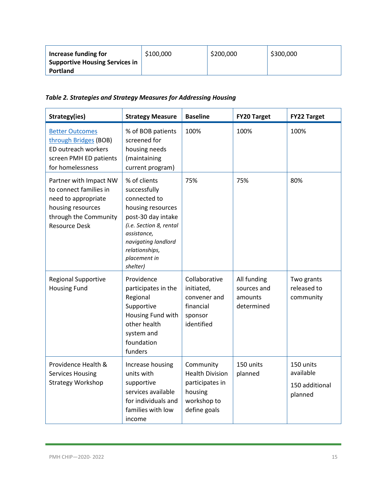| Increase funding for           | \$100,000 | \$200,000 | \$300,000 |
|--------------------------------|-----------|-----------|-----------|
| Supportive Housing Services in |           |           |           |
| <b>Portland</b>                |           |           |           |

*Table 2. Strategies and Strategy Measures for Addressing Housing*

| Strategy(ies)                                                                                                                                 | <b>Strategy Measure</b>                                                                                                                                                                                | <b>Baseline</b>                                                                                  | <b>FY20 Target</b>                                  | <b>FY22 Target</b>                                  |
|-----------------------------------------------------------------------------------------------------------------------------------------------|--------------------------------------------------------------------------------------------------------------------------------------------------------------------------------------------------------|--------------------------------------------------------------------------------------------------|-----------------------------------------------------|-----------------------------------------------------|
| <b>Better Outcomes</b><br>through Bridges (BOB)<br>ED outreach workers<br>screen PMH ED patients<br>for homelessness                          | % of BOB patients<br>screened for<br>housing needs<br>(maintaining<br>current program)                                                                                                                 | 100%                                                                                             | 100%                                                | 100%                                                |
| Partner with Impact NW<br>to connect families in<br>need to appropriate<br>housing resources<br>through the Community<br><b>Resource Desk</b> | % of clients<br>successfully<br>connected to<br>housing resources<br>post-30 day intake<br>(i.e. Section 8, rental<br>assistance,<br>navigating landlord<br>relationships,<br>placement in<br>shelter) | 75%                                                                                              | 75%                                                 | 80%                                                 |
| <b>Regional Supportive</b><br><b>Housing Fund</b>                                                                                             | Providence<br>participates in the<br>Regional<br>Supportive<br>Housing Fund with<br>other health<br>system and<br>foundation<br>funders                                                                | Collaborative<br>initiated,<br>convener and<br>financial<br>sponsor<br>identified                | All funding<br>sources and<br>amounts<br>determined | Two grants<br>released to<br>community              |
| Providence Health &<br><b>Services Housing</b><br><b>Strategy Workshop</b>                                                                    | Increase housing<br>units with<br>supportive<br>services available<br>for individuals and<br>families with low<br>income                                                                               | Community<br><b>Health Division</b><br>participates in<br>housing<br>workshop to<br>define goals | 150 units<br>planned                                | 150 units<br>available<br>150 additional<br>planned |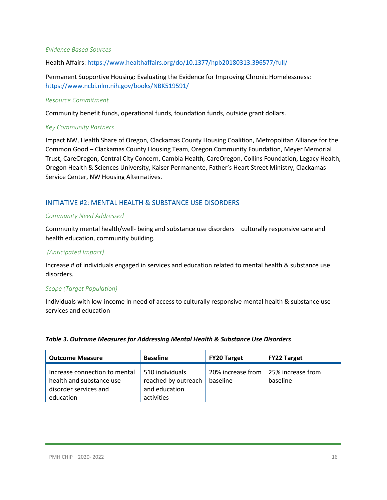#### *Evidence Based Sources*

Health Affairs[: https://www.healthaffairs.org/do/10.1377/hpb20180313.396577/full/](https://www.healthaffairs.org/do/10.1377/hpb20180313.396577/full/)

Permanent Supportive Housing: Evaluating the Evidence for Improving Chronic Homelessness: <https://www.ncbi.nlm.nih.gov/books/NBK519591/>

#### *Resource Commitment*

Community benefit funds, operational funds, foundation funds, outside grant dollars.

#### *Key Community Partners*

Impact NW, Health Share of Oregon, Clackamas County Housing Coalition, Metropolitan Alliance for the Common Good – Clackamas County Housing Team, Oregon Community Foundation, Meyer Memorial Trust, CareOregon, Central City Concern, Cambia Health, CareOregon, Collins Foundation, Legacy Health, Oregon Health & Sciences University, Kaiser Permanente, Father's Heart Street Ministry, Clackamas Service Center, NW Housing Alternatives.

#### <span id="page-15-0"></span>INITIATIVE #2: MENTAL HEALTH & SUBSTANCE USE DISORDERS

#### *Community Need Addressed*

Community mental health/well- being and substance use disorders – culturally responsive care and health education, community building.

#### *(Anticipated Impact)*

Increase # of individuals engaged in services and education related to mental health & substance use disorders.

#### *Scope (Target Population)*

Individuals with low-income in need of access to culturally responsive mental health & substance use services and education

#### *Table 3. Outcome Measures for Addressing Mental Health & Substance Use Disorders*

| <b>Outcome Measure</b>                                                                          | <b>Baseline</b>                                                       | <b>FY20 Target</b>            | <b>FY22 Target</b>            |
|-------------------------------------------------------------------------------------------------|-----------------------------------------------------------------------|-------------------------------|-------------------------------|
| Increase connection to mental<br>health and substance use<br>disorder services and<br>education | 510 individuals<br>reached by outreach<br>and education<br>activities | 20% increase from<br>baseline | 25% increase from<br>baseline |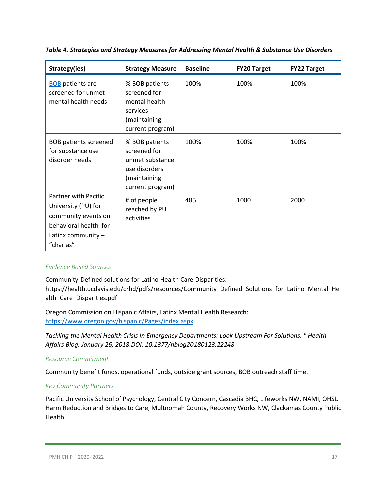| Strategy(ies)                                                                                                                           | <b>Strategy Measure</b>                                                                                | <b>Baseline</b> | <b>FY20 Target</b> | <b>FY22 Target</b> |
|-----------------------------------------------------------------------------------------------------------------------------------------|--------------------------------------------------------------------------------------------------------|-----------------|--------------------|--------------------|
| <b>BOB</b> patients are<br>screened for unmet<br>mental health needs                                                                    | % BOB patients<br>screened for<br>mental health<br>services<br>(maintaining<br>current program)        | 100%            | 100%               | 100%               |
| <b>BOB patients screened</b><br>for substance use<br>disorder needs                                                                     | % BOB patients<br>screened for<br>unmet substance<br>use disorders<br>(maintaining<br>current program) | 100%            | 100%               | 100%               |
| <b>Partner with Pacific</b><br>University (PU) for<br>community events on<br>behavioral health for<br>Latinx community $-$<br>"charlas" | # of people<br>reached by PU<br>activities                                                             | 485             | 1000               | 2000               |

*Table 4. Strategies and Strategy Measures for Addressing Mental Health & Substance Use Disorders*

#### *Evidence Based Sources*

Community-Defined solutions for Latino Health Care Disparities: https://health.ucdavis.edu/crhd/pdfs/resources/Community\_Defined\_Solutions\_for\_Latino\_Mental\_He alth\_Care\_Disparities.pdf

Oregon Commission on Hispanic Affairs, Latinx Mental Health Research: <https://www.oregon.gov/hispanic/Pages/index.aspx>

*Tackling the Mental Health Crisis In Emergency Departments: Look Upstream For Solutions, " Health Affairs Blog, January 26, 2018.DOI: 10.1377/hblog20180123.22248*

#### *Resource Commitment*

Community benefit funds, operational funds, outside grant sources, BOB outreach staff time.

#### *Key Community Partners*

Pacific University School of Psychology, Central City Concern, Cascadia BHC, Lifeworks NW, NAMI, OHSU Harm Reduction and Bridges to Care, Multnomah County, Recovery Works NW, Clackamas County Public Health.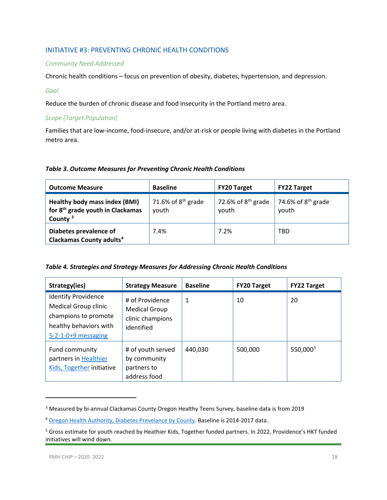#### <span id="page-17-0"></span>INITIATIVE #3: PREVENTING CHRONIC HEALTH CONDITIONS

#### *Community Need Addressed*

Chronic health conditions – focus on prevention of obesity, diabetes, hypertension, and depression.

#### *Goal*

Reduce the burden of chronic disease and food insecurity in the Portland metro area.

#### *Scope (Target Population)*

Families that are low-income, food-insecure, and/or at-risk or people living with diabetes in the Portland metro area.

#### *Table 3. Outcome Measures for Preventing Chronic Health Conditions*

| <b>Outcome Measure</b>                                                                      | <b>Baseline</b>               | <b>FY20 Target</b>            | <b>FY22 Target</b>            |
|---------------------------------------------------------------------------------------------|-------------------------------|-------------------------------|-------------------------------|
| Healthy body mass index (BMI)<br>for 8 <sup>th</sup> grade youth in Clackamas<br>County $3$ | 71.6% of $8th$ grade<br>youth | 72.6% of $8th$ grade<br>youth | 74.6% of $8th$ grade<br>youth |
| Diabetes prevalence of<br>Clackamas County adults <sup>4</sup>                              | 7.4%                          | 7.2%                          | TBD                           |

|  | Table 4. Strategies and Strategy Measures for Addressing Chronic Health Conditions |
|--|------------------------------------------------------------------------------------|
|--|------------------------------------------------------------------------------------|

| Strategy(ies)                                                                                                                        | <b>Strategy Measure</b>                                                   | <b>Baseline</b> | <b>FY20 Target</b> | <b>FY22 Target</b>   |
|--------------------------------------------------------------------------------------------------------------------------------------|---------------------------------------------------------------------------|-----------------|--------------------|----------------------|
| <b>Identify Providence</b><br><b>Medical Group clinic</b><br>champions to promote<br>healthy behaviors with<br>$5-2-1-0+9$ messaging | # of Providence<br><b>Medical Group</b><br>clinic champions<br>identified | 1               | 10                 | 20                   |
| Fund community<br>partners in Healthier<br>Kids, Together initiative                                                                 | # of youth served<br>by community<br>partners to<br>address food          | 440.030         | 500.000            | 550,000 <sup>5</sup> |

<span id="page-17-1"></span><sup>&</sup>lt;sup>3</sup> Measured by bi-annual Clackamas County Oregon Healthy Teens Survey, baseline data is from 2019

l

<span id="page-17-2"></span><sup>4</sup> [Oregon Health Authority, Diabetes Prevelance by County.](https://www.oregon.gov/oha/PH/ABOUT/Documents/indicators/diabetesprev-county.pdf) Baseline is 2014-2017 data.

<span id="page-17-3"></span><sup>&</sup>lt;sup>5</sup> Gross estimate for youth reached by Heathier Kids, Together funded partners. In 2022, Providence's HKT funded initiatives will wind down.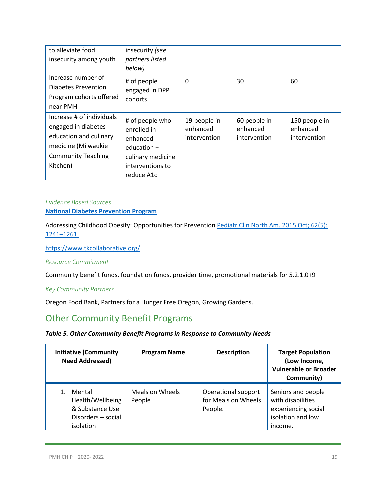| to alleviate food<br>insecurity among youth                                                                                                | insecurity (see<br>partners listed<br>below)                                                                       |                                          |                                          |                                           |
|--------------------------------------------------------------------------------------------------------------------------------------------|--------------------------------------------------------------------------------------------------------------------|------------------------------------------|------------------------------------------|-------------------------------------------|
| Increase number of<br>Diabetes Prevention<br>Program cohorts offered<br>near PMH                                                           | # of people<br>engaged in DPP<br>cohorts                                                                           | 0                                        | 30                                       | 60                                        |
| Increase # of individuals<br>engaged in diabetes<br>education and culinary<br>medicine (Milwaukie<br><b>Community Teaching</b><br>Kitchen) | # of people who<br>enrolled in<br>enhanced<br>education $+$<br>culinary medicine<br>interventions to<br>reduce A1c | 19 people in<br>enhanced<br>intervention | 60 people in<br>enhanced<br>intervention | 150 people in<br>enhanced<br>intervention |

#### *Evidence Based Sources* **[National Diabetes Prevention Program](https://www.cdc.gov/diabetes/prevention/index.html)**

Addressing Childhood Obesity: Opportunities for Prevention Pediatr Clin North Am. 2015 Oct; 62(5): [1241–1261.](https://www.ncbi.nlm.nih.gov/entrez/eutils/elink.fcgi?dbfrom=pubmed&retmode=ref&cmd=prlinks&id=26318950) 

<https://www.tkcollaborative.org/>

#### *Resource Commitment*

Community benefit funds, foundation funds, provider time, promotional materials for 5.2.1.0+9

#### *Key Community Partners*

Oregon Food Bank, Partners for a Hunger Free Oregon, Growing Gardens.

# <span id="page-18-0"></span>Other Community Benefit Programs

#### *Table 5. Other Community Benefit Programs in Response to Community Needs*

| <b>Initiative (Community</b><br><b>Need Addressed)</b>                           | <b>Program Name</b>       | <b>Description</b>                                    | <b>Target Population</b><br>(Low Income,<br><b>Vulnerable or Broader</b><br>Community)         |
|----------------------------------------------------------------------------------|---------------------------|-------------------------------------------------------|------------------------------------------------------------------------------------------------|
| Mental<br>Health/Wellbeing<br>& Substance Use<br>Disorders - social<br>isolation | Meals on Wheels<br>People | Operational support<br>for Meals on Wheels<br>People. | Seniors and people<br>with disabilities<br>experiencing social<br>isolation and low<br>income. |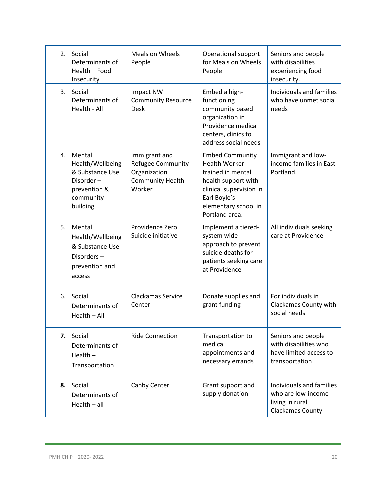|    | 2. Social<br>Determinants of<br>Health - Food<br>Insecurity                                         | <b>Meals on Wheels</b><br>People                                                               | Operational support<br>for Meals on Wheels<br>People                                                                                                                            | Seniors and people<br>with disabilities<br>experiencing food<br>insecurity.             |
|----|-----------------------------------------------------------------------------------------------------|------------------------------------------------------------------------------------------------|---------------------------------------------------------------------------------------------------------------------------------------------------------------------------------|-----------------------------------------------------------------------------------------|
| 3. | Social<br>Determinants of<br>Health - All                                                           | Impact NW<br><b>Community Resource</b><br><b>Desk</b>                                          | Embed a high-<br>functioning<br>community based<br>organization in<br>Providence medical<br>centers, clinics to<br>address social needs                                         | Individuals and families<br>who have unmet social<br>needs                              |
| 4. | Mental<br>Health/Wellbeing<br>& Substance Use<br>Disorder-<br>prevention &<br>community<br>building | Immigrant and<br><b>Refugee Community</b><br>Organization<br><b>Community Health</b><br>Worker | <b>Embed Community</b><br><b>Health Worker</b><br>trained in mental<br>health support with<br>clinical supervision in<br>Earl Boyle's<br>elementary school in<br>Portland area. | Immigrant and low-<br>income families in East<br>Portland.                              |
| 5. | Mental<br>Health/Wellbeing<br>& Substance Use<br>Disorders-<br>prevention and<br>access             | Providence Zero<br>Suicide initiative                                                          | Implement a tiered-<br>system wide<br>approach to prevent<br>suicide deaths for<br>patients seeking care<br>at Providence                                                       | All individuals seeking<br>care at Providence                                           |
| 6. | Social<br>Determinants of<br>$Health - All$                                                         | <b>Clackamas Service</b><br>Center                                                             | Donate supplies and<br>grant funding                                                                                                                                            | For individuals in<br>Clackamas County with<br>social needs                             |
|    | 7. Social<br>Determinants of<br>Health $-$<br>Transportation                                        | <b>Ride Connection</b>                                                                         | Transportation to<br>medical<br>appointments and<br>necessary errands                                                                                                           | Seniors and people<br>with disabilities who<br>have limited access to<br>transportation |
| 8. | Social<br>Determinants of<br>$Health - all$                                                         | Canby Center                                                                                   | Grant support and<br>supply donation                                                                                                                                            | Individuals and families<br>who are low-income<br>living in rural<br>Clackamas County   |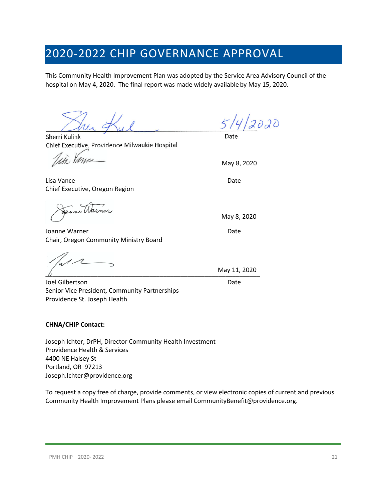# <span id="page-20-0"></span>2020-2022 CHIP GOVERNANCE APPROVAL

This Community Health Improvement Plan was adopted by the Service Area Advisory Council of the hospital on May 4, 2020. The final report was made widely available by May 15, 2020.

Sherri Kulink Chief Executive, Providence Milwaukie Hospital

Vance

Lisa Vance Date Date Date Date Date Chief Executive, Oregon Region

\_\_\_\_\_\_\_\_\_\_\_\_\_\_\_\_\_\_\_\_\_\_\_\_\_\_\_\_\_\_\_\_\_\_\_\_\_\_\_\_\_\_\_\_\_\_\_\_\_\_\_\_\_\_\_\_\_\_\_\_\_\_

Joanne Warner National Accounts and the United States of the United States of the United States of the United States of the United States of the United States of the United States of the United States of the United States Chair, Oregon Community Ministry Board

 $\frac{1}{2}$  ividy 11, 2020

Joel Gilbertson Date Senior Vice President, Community Partnerships Providence St. Joseph Health

#### **CHNA/CHIP Contact:**

Joseph Ichter, DrPH, Director Community Health Investment Providence Health & Services 4400 NE Halsey St Portland, OR 97213 Joseph.Ichter@providence.org

To request a copy free of charge, provide comments, or view electronic copies of current and previous Community Health Improvement Plans please email CommunityBenefit@providence.org.

2020

Date

 $\overline{u}$ May 8, 2020

May 8, 2020

May 11, 2020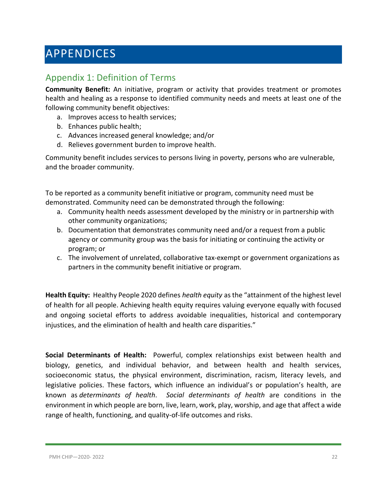# <span id="page-21-0"></span>APPENDICES

# <span id="page-21-1"></span>Appendix 1: Definition of Terms

**Community Benefit:** An initiative, program or activity that provides treatment or promotes health and healing as a response to identified community needs and meets at least one of the following community benefit objectives:

- a. Improves access to health services;
- b. Enhances public health;
- c. Advances increased general knowledge; and/or
- d. Relieves government burden to improve health.

Community benefit includes services to persons living in poverty, persons who are vulnerable, and the broader community.

To be reported as a community benefit initiative or program, community need must be demonstrated. Community need can be demonstrated through the following:

- a. Community health needs assessment developed by the ministry or in partnership with other community organizations;
- b. Documentation that demonstrates community need and/or a request from a public agency or community group was the basis for initiating or continuing the activity or program; or
- c. The involvement of unrelated, collaborative tax-exempt or government organizations as partners in the community benefit initiative or program.

**Health Equity:** Healthy People 2020 defines *health equity* as the "attainment of the highest level of health for all people. Achieving health equity requires valuing everyone equally with focused and ongoing societal efforts to address avoidable inequalities, historical and contemporary injustices, and the elimination of health and health care disparities."

**Social Determinants of Health:** Powerful, complex relationships exist between health and biology, genetics, and individual behavior, and between health and health services, socioeconomic status, the physical environment, discrimination, racism, literacy levels, and legislative policies. These factors, which influence an individual's or population's health, are known as *determinants of health*. *Social determinants of health* are conditions in the environment in which people are born, live, learn, work, play, worship, and age that affect a wide range of health, functioning, and quality-of-life outcomes and risks.